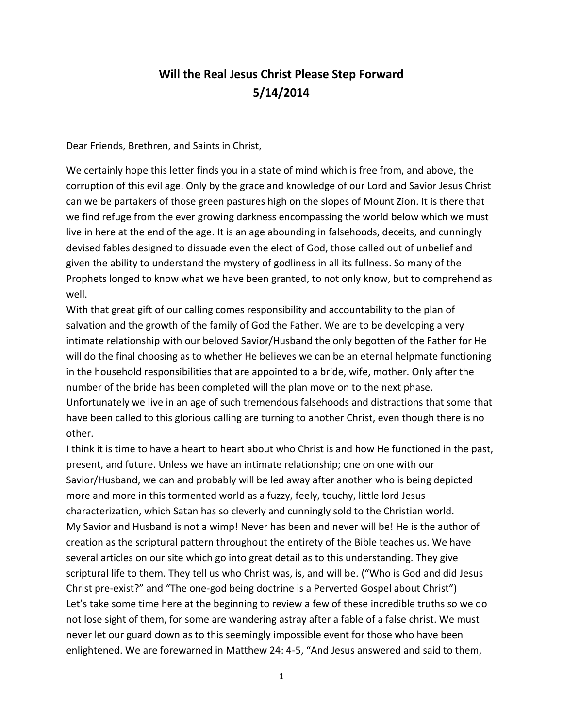## **Will the Real Jesus Christ Please Step Forward 5/14/2014**

Dear Friends, Brethren, and Saints in Christ,

We certainly hope this letter finds you in a state of mind which is free from, and above, the corruption of this evil age. Only by the grace and knowledge of our Lord and Savior Jesus Christ can we be partakers of those green pastures high on the slopes of Mount Zion. It is there that we find refuge from the ever growing darkness encompassing the world below which we must live in here at the end of the age. It is an age abounding in falsehoods, deceits, and cunningly devised fables designed to dissuade even the elect of God, those called out of unbelief and given the ability to understand the mystery of godliness in all its fullness. So many of the Prophets longed to know what we have been granted, to not only know, but to comprehend as well.

With that great gift of our calling comes responsibility and accountability to the plan of salvation and the growth of the family of God the Father. We are to be developing a very intimate relationship with our beloved Savior/Husband the only begotten of the Father for He will do the final choosing as to whether He believes we can be an eternal helpmate functioning in the household responsibilities that are appointed to a bride, wife, mother. Only after the number of the bride has been completed will the plan move on to the next phase. Unfortunately we live in an age of such tremendous falsehoods and distractions that some that have been called to this glorious calling are turning to another Christ, even though there is no other.

I think it is time to have a heart to heart about who Christ is and how He functioned in the past, present, and future. Unless we have an intimate relationship; one on one with our Savior/Husband, we can and probably will be led away after another who is being depicted more and more in this tormented world as a fuzzy, feely, touchy, little lord Jesus characterization, which Satan has so cleverly and cunningly sold to the Christian world. My Savior and Husband is not a wimp! Never has been and never will be! He is the author of creation as the scriptural pattern throughout the entirety of the Bible teaches us. We have several articles on our site which go into great detail as to this understanding. They give scriptural life to them. They tell us who Christ was, is, and will be. ("Who is God and did Jesus Christ pre-exist?" and "The one-god being doctrine is a Perverted Gospel about Christ") Let's take some time here at the beginning to review a few of these incredible truths so we do not lose sight of them, for some are wandering astray after a fable of a false christ. We must never let our guard down as to this seemingly impossible event for those who have been enlightened. We are forewarned in Matthew 24: 4-5, "And Jesus answered and said to them,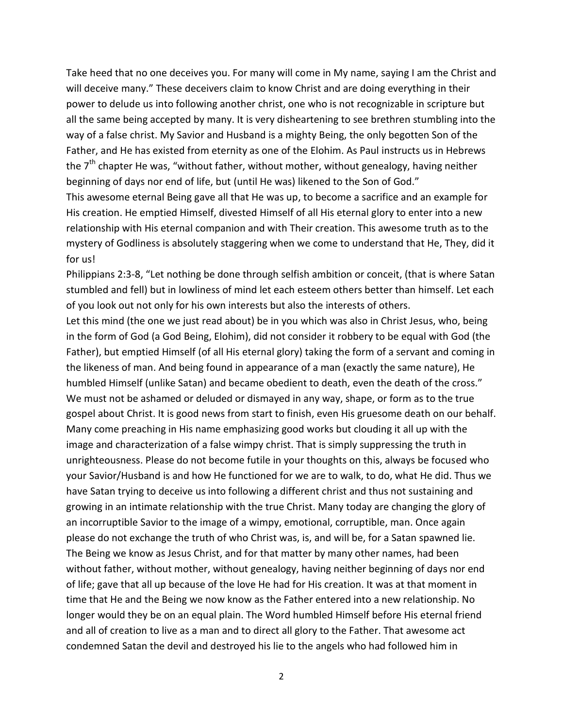Take heed that no one deceives you. For many will come in My name, saying I am the Christ and will deceive many." These deceivers claim to know Christ and are doing everything in their power to delude us into following another christ, one who is not recognizable in scripture but all the same being accepted by many. It is very disheartening to see brethren stumbling into the way of a false christ. My Savior and Husband is a mighty Being, the only begotten Son of the Father, and He has existed from eternity as one of the Elohim. As Paul instructs us in Hebrews the  $7<sup>th</sup>$  chapter He was, "without father, without mother, without genealogy, having neither beginning of days nor end of life, but (until He was) likened to the Son of God."

This awesome eternal Being gave all that He was up, to become a sacrifice and an example for His creation. He emptied Himself, divested Himself of all His eternal glory to enter into a new relationship with His eternal companion and with Their creation. This awesome truth as to the mystery of Godliness is absolutely staggering when we come to understand that He, They, did it for us!

Philippians 2:3-8, "Let nothing be done through selfish ambition or conceit, (that is where Satan stumbled and fell) but in lowliness of mind let each esteem others better than himself. Let each of you look out not only for his own interests but also the interests of others.

Let this mind (the one we just read about) be in you which was also in Christ Jesus, who, being in the form of God (a God Being, Elohim), did not consider it robbery to be equal with God (the Father), but emptied Himself (of all His eternal glory) taking the form of a servant and coming in the likeness of man. And being found in appearance of a man (exactly the same nature), He humbled Himself (unlike Satan) and became obedient to death, even the death of the cross." We must not be ashamed or deluded or dismayed in any way, shape, or form as to the true gospel about Christ. It is good news from start to finish, even His gruesome death on our behalf. Many come preaching in His name emphasizing good works but clouding it all up with the image and characterization of a false wimpy christ. That is simply suppressing the truth in unrighteousness. Please do not become futile in your thoughts on this, always be focused who your Savior/Husband is and how He functioned for we are to walk, to do, what He did. Thus we have Satan trying to deceive us into following a different christ and thus not sustaining and growing in an intimate relationship with the true Christ. Many today are changing the glory of an incorruptible Savior to the image of a wimpy, emotional, corruptible, man. Once again please do not exchange the truth of who Christ was, is, and will be, for a Satan spawned lie. The Being we know as Jesus Christ, and for that matter by many other names, had been without father, without mother, without genealogy, having neither beginning of days nor end of life; gave that all up because of the love He had for His creation. It was at that moment in time that He and the Being we now know as the Father entered into a new relationship. No longer would they be on an equal plain. The Word humbled Himself before His eternal friend and all of creation to live as a man and to direct all glory to the Father. That awesome act condemned Satan the devil and destroyed his lie to the angels who had followed him in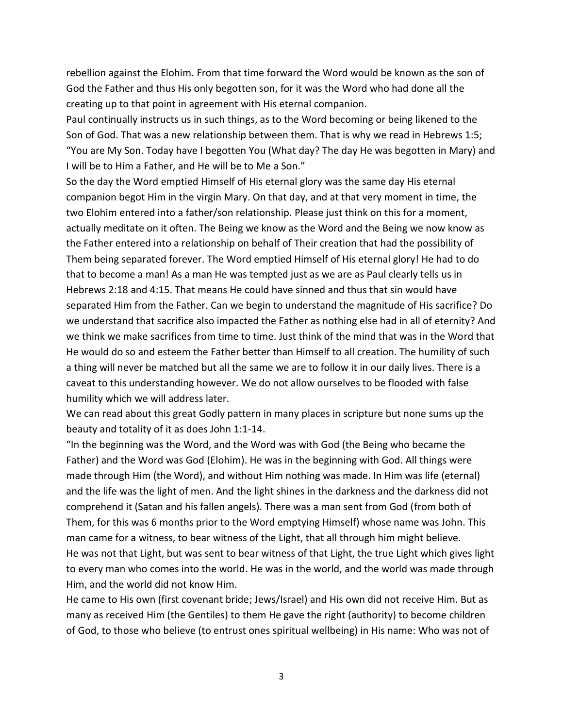rebellion against the Elohim. From that time forward the Word would be known as the son of God the Father and thus His only begotten son, for it was the Word who had done all the creating up to that point in agreement with His eternal companion.

Paul continually instructs us in such things, as to the Word becoming or being likened to the Son of God. That was a new relationship between them. That is why we read in Hebrews 1:5; "You are My Son. Today have I begotten You (What day? The day He was begotten in Mary) and I will be to Him a Father, and He will be to Me a Son."

So the day the Word emptied Himself of His eternal glory was the same day His eternal companion begot Him in the virgin Mary. On that day, and at that very moment in time, the two Elohim entered into a father/son relationship. Please just think on this for a moment, actually meditate on it often. The Being we know as the Word and the Being we now know as the Father entered into a relationship on behalf of Their creation that had the possibility of Them being separated forever. The Word emptied Himself of His eternal glory! He had to do that to become a man! As a man He was tempted just as we are as Paul clearly tells us in Hebrews 2:18 and 4:15. That means He could have sinned and thus that sin would have separated Him from the Father. Can we begin to understand the magnitude of His sacrifice? Do we understand that sacrifice also impacted the Father as nothing else had in all of eternity? And we think we make sacrifices from time to time. Just think of the mind that was in the Word that He would do so and esteem the Father better than Himself to all creation. The humility of such a thing will never be matched but all the same we are to follow it in our daily lives. There is a caveat to this understanding however. We do not allow ourselves to be flooded with false humility which we will address later.

We can read about this great Godly pattern in many places in scripture but none sums up the beauty and totality of it as does John 1:1-14.

"In the beginning was the Word, and the Word was with God (the Being who became the Father) and the Word was God (Elohim). He was in the beginning with God. All things were made through Him (the Word), and without Him nothing was made. In Him was life (eternal) and the life was the light of men. And the light shines in the darkness and the darkness did not comprehend it (Satan and his fallen angels). There was a man sent from God (from both of Them, for this was 6 months prior to the Word emptying Himself) whose name was John. This man came for a witness, to bear witness of the Light, that all through him might believe. He was not that Light, but was sent to bear witness of that Light, the true Light which gives light to every man who comes into the world. He was in the world, and the world was made through Him, and the world did not know Him.

He came to His own (first covenant bride; Jews/Israel) and His own did not receive Him. But as many as received Him (the Gentiles) to them He gave the right (authority) to become children of God, to those who believe (to entrust ones spiritual wellbeing) in His name: Who was not of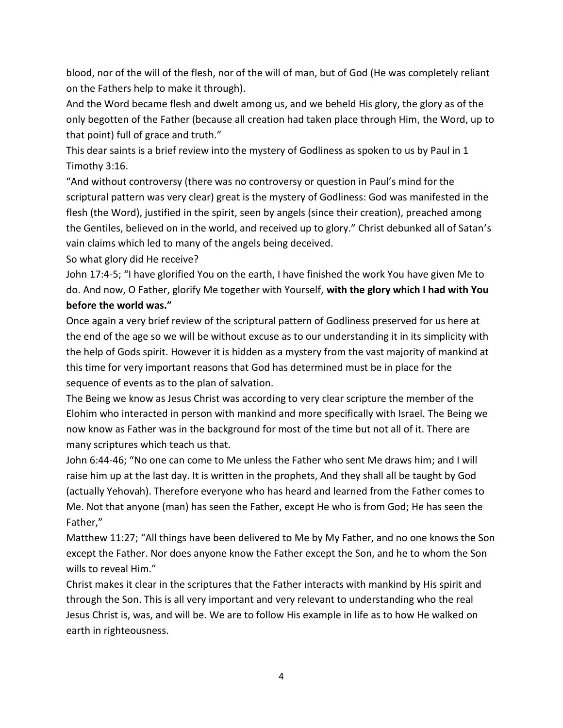blood, nor of the will of the flesh, nor of the will of man, but of God (He was completely reliant on the Fathers help to make it through).

And the Word became flesh and dwelt among us, and we beheld His glory, the glory as of the only begotten of the Father (because all creation had taken place through Him, the Word, up to that point) full of grace and truth."

This dear saints is a brief review into the mystery of Godliness as spoken to us by Paul in 1 Timothy 3:16.

"And without controversy (there was no controversy or question in Paul's mind for the scriptural pattern was very clear) great is the mystery of Godliness: God was manifested in the flesh (the Word), justified in the spirit, seen by angels (since their creation), preached among the Gentiles, believed on in the world, and received up to glory." Christ debunked all of Satan's vain claims which led to many of the angels being deceived.

So what glory did He receive?

John 17:4-5; "I have glorified You on the earth, I have finished the work You have given Me to do. And now, O Father, glorify Me together with Yourself, **with the glory which I had with You before the world was."**

Once again a very brief review of the scriptural pattern of Godliness preserved for us here at the end of the age so we will be without excuse as to our understanding it in its simplicity with the help of Gods spirit. However it is hidden as a mystery from the vast majority of mankind at this time for very important reasons that God has determined must be in place for the sequence of events as to the plan of salvation.

The Being we know as Jesus Christ was according to very clear scripture the member of the Elohim who interacted in person with mankind and more specifically with Israel. The Being we now know as Father was in the background for most of the time but not all of it. There are many scriptures which teach us that.

John 6:44-46; "No one can come to Me unless the Father who sent Me draws him; and I will raise him up at the last day. It is written in the prophets, And they shall all be taught by God (actually Yehovah). Therefore everyone who has heard and learned from the Father comes to Me. Not that anyone (man) has seen the Father, except He who is from God; He has seen the Father,"

Matthew 11:27; "All things have been delivered to Me by My Father, and no one knows the Son except the Father. Nor does anyone know the Father except the Son, and he to whom the Son wills to reveal Him."

Christ makes it clear in the scriptures that the Father interacts with mankind by His spirit and through the Son. This is all very important and very relevant to understanding who the real Jesus Christ is, was, and will be. We are to follow His example in life as to how He walked on earth in righteousness.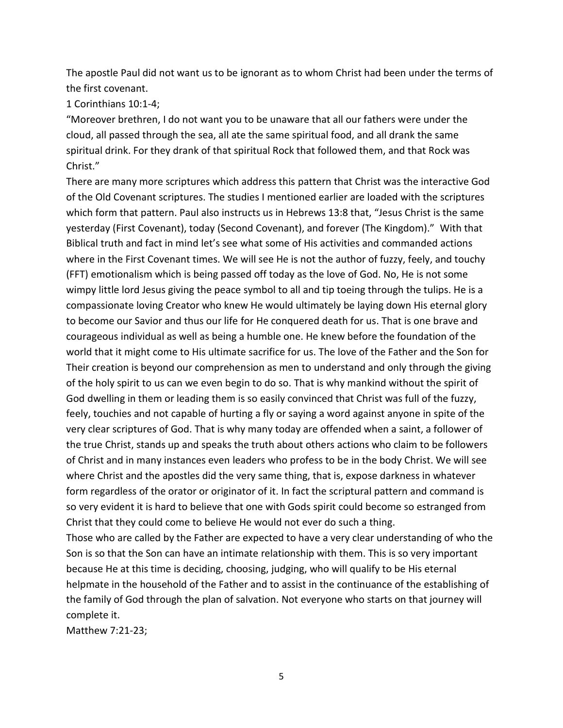The apostle Paul did not want us to be ignorant as to whom Christ had been under the terms of the first covenant.

1 Corinthians 10:1-4;

"Moreover brethren, I do not want you to be unaware that all our fathers were under the cloud, all passed through the sea, all ate the same spiritual food, and all drank the same spiritual drink. For they drank of that spiritual Rock that followed them, and that Rock was Christ."

There are many more scriptures which address this pattern that Christ was the interactive God of the Old Covenant scriptures. The studies I mentioned earlier are loaded with the scriptures which form that pattern. Paul also instructs us in Hebrews 13:8 that, "Jesus Christ is the same yesterday (First Covenant), today (Second Covenant), and forever (The Kingdom)." With that Biblical truth and fact in mind let's see what some of His activities and commanded actions where in the First Covenant times. We will see He is not the author of fuzzy, feely, and touchy (FFT) emotionalism which is being passed off today as the love of God. No, He is not some wimpy little lord Jesus giving the peace symbol to all and tip toeing through the tulips. He is a compassionate loving Creator who knew He would ultimately be laying down His eternal glory to become our Savior and thus our life for He conquered death for us. That is one brave and courageous individual as well as being a humble one. He knew before the foundation of the world that it might come to His ultimate sacrifice for us. The love of the Father and the Son for Their creation is beyond our comprehension as men to understand and only through the giving of the holy spirit to us can we even begin to do so. That is why mankind without the spirit of God dwelling in them or leading them is so easily convinced that Christ was full of the fuzzy, feely, touchies and not capable of hurting a fly or saying a word against anyone in spite of the very clear scriptures of God. That is why many today are offended when a saint, a follower of the true Christ, stands up and speaks the truth about others actions who claim to be followers of Christ and in many instances even leaders who profess to be in the body Christ. We will see where Christ and the apostles did the very same thing, that is, expose darkness in whatever form regardless of the orator or originator of it. In fact the scriptural pattern and command is so very evident it is hard to believe that one with Gods spirit could become so estranged from Christ that they could come to believe He would not ever do such a thing.

Those who are called by the Father are expected to have a very clear understanding of who the Son is so that the Son can have an intimate relationship with them. This is so very important because He at this time is deciding, choosing, judging, who will qualify to be His eternal helpmate in the household of the Father and to assist in the continuance of the establishing of the family of God through the plan of salvation. Not everyone who starts on that journey will complete it.

Matthew 7:21-23;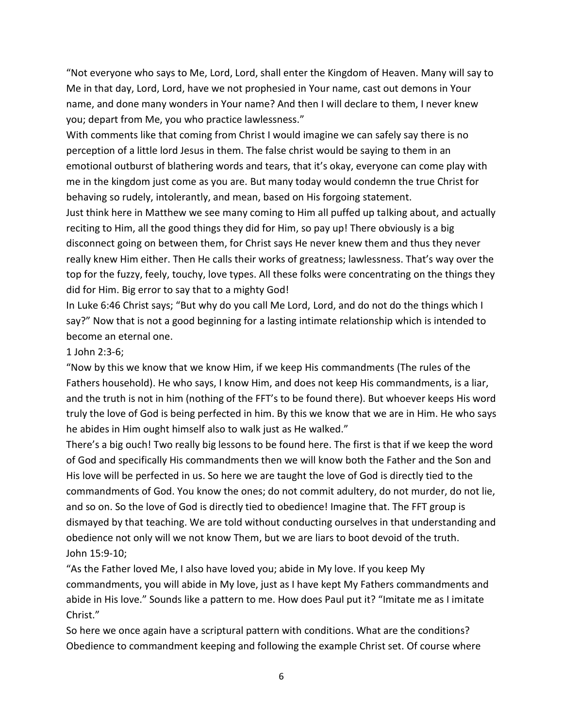"Not everyone who says to Me, Lord, Lord, shall enter the Kingdom of Heaven. Many will say to Me in that day, Lord, Lord, have we not prophesied in Your name, cast out demons in Your name, and done many wonders in Your name? And then I will declare to them, I never knew you; depart from Me, you who practice lawlessness."

With comments like that coming from Christ I would imagine we can safely say there is no perception of a little lord Jesus in them. The false christ would be saying to them in an emotional outburst of blathering words and tears, that it's okay, everyone can come play with me in the kingdom just come as you are. But many today would condemn the true Christ for behaving so rudely, intolerantly, and mean, based on His forgoing statement.

Just think here in Matthew we see many coming to Him all puffed up talking about, and actually reciting to Him, all the good things they did for Him, so pay up! There obviously is a big disconnect going on between them, for Christ says He never knew them and thus they never really knew Him either. Then He calls their works of greatness; lawlessness. That's way over the top for the fuzzy, feely, touchy, love types. All these folks were concentrating on the things they did for Him. Big error to say that to a mighty God!

In Luke 6:46 Christ says; "But why do you call Me Lord, Lord, and do not do the things which I say?" Now that is not a good beginning for a lasting intimate relationship which is intended to become an eternal one.

## 1 John 2:3-6;

"Now by this we know that we know Him, if we keep His commandments (The rules of the Fathers household). He who says, I know Him, and does not keep His commandments, is a liar, and the truth is not in him (nothing of the FFT's to be found there). But whoever keeps His word truly the love of God is being perfected in him. By this we know that we are in Him. He who says he abides in Him ought himself also to walk just as He walked."

There's a big ouch! Two really big lessons to be found here. The first is that if we keep the word of God and specifically His commandments then we will know both the Father and the Son and His love will be perfected in us. So here we are taught the love of God is directly tied to the commandments of God. You know the ones; do not commit adultery, do not murder, do not lie, and so on. So the love of God is directly tied to obedience! Imagine that. The FFT group is dismayed by that teaching. We are told without conducting ourselves in that understanding and obedience not only will we not know Them, but we are liars to boot devoid of the truth. John 15:9-10;

"As the Father loved Me, I also have loved you; abide in My love. If you keep My commandments, you will abide in My love, just as I have kept My Fathers commandments and abide in His love." Sounds like a pattern to me. How does Paul put it? "Imitate me as I imitate Christ."

So here we once again have a scriptural pattern with conditions. What are the conditions? Obedience to commandment keeping and following the example Christ set. Of course where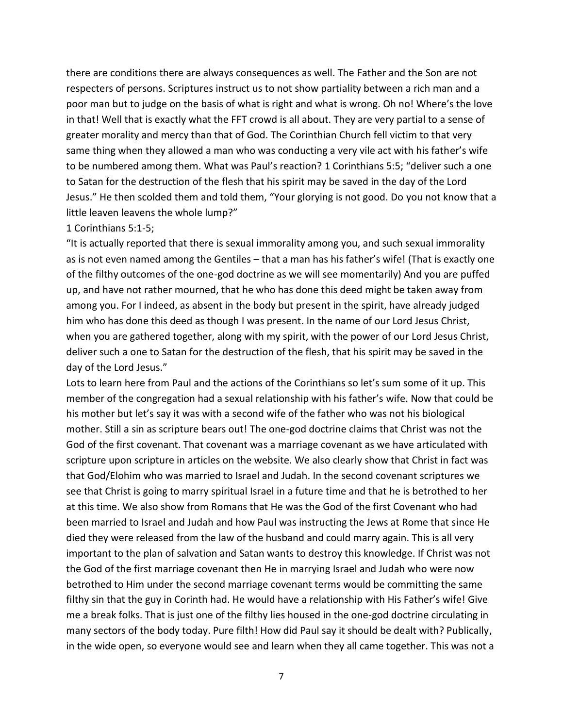there are conditions there are always consequences as well. The Father and the Son are not respecters of persons. Scriptures instruct us to not show partiality between a rich man and a poor man but to judge on the basis of what is right and what is wrong. Oh no! Where's the love in that! Well that is exactly what the FFT crowd is all about. They are very partial to a sense of greater morality and mercy than that of God. The Corinthian Church fell victim to that very same thing when they allowed a man who was conducting a very vile act with his father's wife to be numbered among them. What was Paul's reaction? 1 Corinthians 5:5; "deliver such a one to Satan for the destruction of the flesh that his spirit may be saved in the day of the Lord Jesus." He then scolded them and told them, "Your glorying is not good. Do you not know that a little leaven leavens the whole lump?"

## 1 Corinthians 5:1-5;

"It is actually reported that there is sexual immorality among you, and such sexual immorality as is not even named among the Gentiles – that a man has his father's wife! (That is exactly one of the filthy outcomes of the one-god doctrine as we will see momentarily) And you are puffed up, and have not rather mourned, that he who has done this deed might be taken away from among you. For I indeed, as absent in the body but present in the spirit, have already judged him who has done this deed as though I was present. In the name of our Lord Jesus Christ, when you are gathered together, along with my spirit, with the power of our Lord Jesus Christ, deliver such a one to Satan for the destruction of the flesh, that his spirit may be saved in the day of the Lord Jesus."

Lots to learn here from Paul and the actions of the Corinthians so let's sum some of it up. This member of the congregation had a sexual relationship with his father's wife. Now that could be his mother but let's say it was with a second wife of the father who was not his biological mother. Still a sin as scripture bears out! The one-god doctrine claims that Christ was not the God of the first covenant. That covenant was a marriage covenant as we have articulated with scripture upon scripture in articles on the website. We also clearly show that Christ in fact was that God/Elohim who was married to Israel and Judah. In the second covenant scriptures we see that Christ is going to marry spiritual Israel in a future time and that he is betrothed to her at this time. We also show from Romans that He was the God of the first Covenant who had been married to Israel and Judah and how Paul was instructing the Jews at Rome that since He died they were released from the law of the husband and could marry again. This is all very important to the plan of salvation and Satan wants to destroy this knowledge. If Christ was not the God of the first marriage covenant then He in marrying Israel and Judah who were now betrothed to Him under the second marriage covenant terms would be committing the same filthy sin that the guy in Corinth had. He would have a relationship with His Father's wife! Give me a break folks. That is just one of the filthy lies housed in the one-god doctrine circulating in many sectors of the body today. Pure filth! How did Paul say it should be dealt with? Publically, in the wide open, so everyone would see and learn when they all came together. This was not a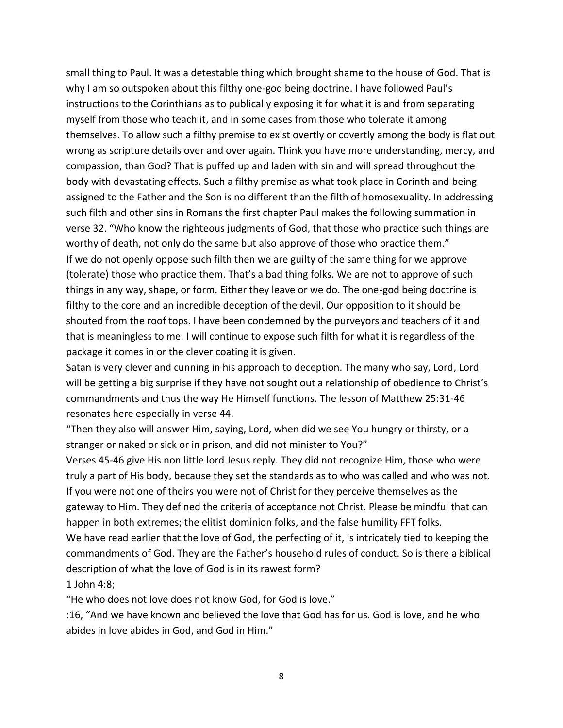small thing to Paul. It was a detestable thing which brought shame to the house of God. That is why I am so outspoken about this filthy one-god being doctrine. I have followed Paul's instructions to the Corinthians as to publically exposing it for what it is and from separating myself from those who teach it, and in some cases from those who tolerate it among themselves. To allow such a filthy premise to exist overtly or covertly among the body is flat out wrong as scripture details over and over again. Think you have more understanding, mercy, and compassion, than God? That is puffed up and laden with sin and will spread throughout the body with devastating effects. Such a filthy premise as what took place in Corinth and being assigned to the Father and the Son is no different than the filth of homosexuality. In addressing such filth and other sins in Romans the first chapter Paul makes the following summation in verse 32. "Who know the righteous judgments of God, that those who practice such things are worthy of death, not only do the same but also approve of those who practice them." If we do not openly oppose such filth then we are guilty of the same thing for we approve (tolerate) those who practice them. That's a bad thing folks. We are not to approve of such things in any way, shape, or form. Either they leave or we do. The one-god being doctrine is filthy to the core and an incredible deception of the devil. Our opposition to it should be shouted from the roof tops. I have been condemned by the purveyors and teachers of it and that is meaningless to me. I will continue to expose such filth for what it is regardless of the package it comes in or the clever coating it is given.

Satan is very clever and cunning in his approach to deception. The many who say, Lord, Lord will be getting a big surprise if they have not sought out a relationship of obedience to Christ's commandments and thus the way He Himself functions. The lesson of Matthew 25:31-46 resonates here especially in verse 44.

"Then they also will answer Him, saying, Lord, when did we see You hungry or thirsty, or a stranger or naked or sick or in prison, and did not minister to You?"

Verses 45-46 give His non little lord Jesus reply. They did not recognize Him, those who were truly a part of His body, because they set the standards as to who was called and who was not. If you were not one of theirs you were not of Christ for they perceive themselves as the gateway to Him. They defined the criteria of acceptance not Christ. Please be mindful that can happen in both extremes; the elitist dominion folks, and the false humility FFT folks.

We have read earlier that the love of God, the perfecting of it, is intricately tied to keeping the commandments of God. They are the Father's household rules of conduct. So is there a biblical description of what the love of God is in its rawest form?

1 John 4:8;

"He who does not love does not know God, for God is love."

:16, "And we have known and believed the love that God has for us. God is love, and he who abides in love abides in God, and God in Him."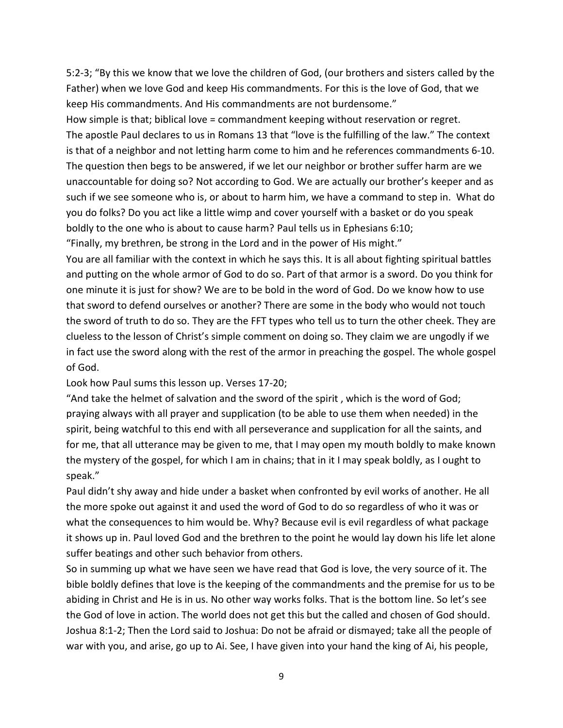5:2-3; "By this we know that we love the children of God, (our brothers and sisters called by the Father) when we love God and keep His commandments. For this is the love of God, that we keep His commandments. And His commandments are not burdensome."

How simple is that; biblical love = commandment keeping without reservation or regret. The apostle Paul declares to us in Romans 13 that "love is the fulfilling of the law." The context is that of a neighbor and not letting harm come to him and he references commandments 6-10. The question then begs to be answered, if we let our neighbor or brother suffer harm are we unaccountable for doing so? Not according to God. We are actually our brother's keeper and as such if we see someone who is, or about to harm him, we have a command to step in. What do you do folks? Do you act like a little wimp and cover yourself with a basket or do you speak boldly to the one who is about to cause harm? Paul tells us in Ephesians 6:10;

"Finally, my brethren, be strong in the Lord and in the power of His might."

You are all familiar with the context in which he says this. It is all about fighting spiritual battles and putting on the whole armor of God to do so. Part of that armor is a sword. Do you think for one minute it is just for show? We are to be bold in the word of God. Do we know how to use that sword to defend ourselves or another? There are some in the body who would not touch the sword of truth to do so. They are the FFT types who tell us to turn the other cheek. They are clueless to the lesson of Christ's simple comment on doing so. They claim we are ungodly if we in fact use the sword along with the rest of the armor in preaching the gospel. The whole gospel of God.

Look how Paul sums this lesson up. Verses 17-20;

"And take the helmet of salvation and the sword of the spirit , which is the word of God; praying always with all prayer and supplication (to be able to use them when needed) in the spirit, being watchful to this end with all perseverance and supplication for all the saints, and for me, that all utterance may be given to me, that I may open my mouth boldly to make known the mystery of the gospel, for which I am in chains; that in it I may speak boldly, as I ought to speak."

Paul didn't shy away and hide under a basket when confronted by evil works of another. He all the more spoke out against it and used the word of God to do so regardless of who it was or what the consequences to him would be. Why? Because evil is evil regardless of what package it shows up in. Paul loved God and the brethren to the point he would lay down his life let alone suffer beatings and other such behavior from others.

So in summing up what we have seen we have read that God is love, the very source of it. The bible boldly defines that love is the keeping of the commandments and the premise for us to be abiding in Christ and He is in us. No other way works folks. That is the bottom line. So let's see the God of love in action. The world does not get this but the called and chosen of God should. Joshua 8:1-2; Then the Lord said to Joshua: Do not be afraid or dismayed; take all the people of war with you, and arise, go up to Ai. See, I have given into your hand the king of Ai, his people,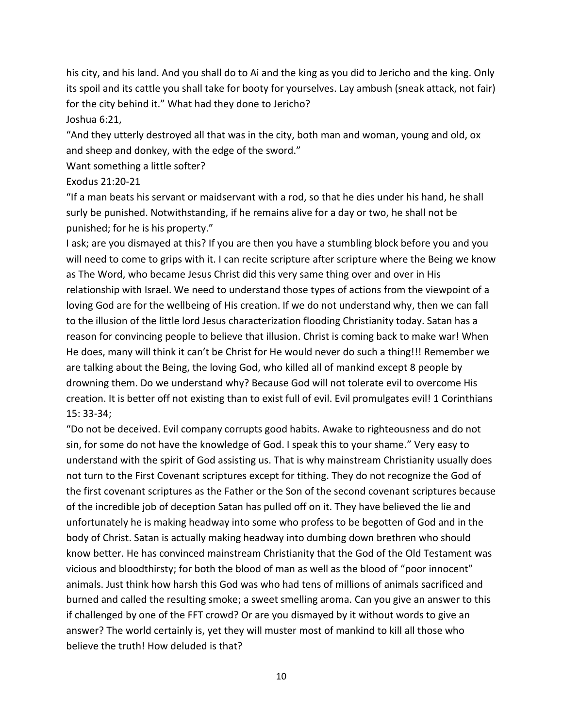his city, and his land. And you shall do to Ai and the king as you did to Jericho and the king. Only its spoil and its cattle you shall take for booty for yourselves. Lay ambush (sneak attack, not fair) for the city behind it." What had they done to Jericho?

Joshua 6:21,

"And they utterly destroyed all that was in the city, both man and woman, young and old, ox and sheep and donkey, with the edge of the sword."

Want something a little softer?

Exodus 21:20-21

"If a man beats his servant or maidservant with a rod, so that he dies under his hand, he shall surly be punished. Notwithstanding, if he remains alive for a day or two, he shall not be punished; for he is his property."

I ask; are you dismayed at this? If you are then you have a stumbling block before you and you will need to come to grips with it. I can recite scripture after scripture where the Being we know as The Word, who became Jesus Christ did this very same thing over and over in His relationship with Israel. We need to understand those types of actions from the viewpoint of a loving God are for the wellbeing of His creation. If we do not understand why, then we can fall to the illusion of the little lord Jesus characterization flooding Christianity today. Satan has a reason for convincing people to believe that illusion. Christ is coming back to make war! When He does, many will think it can't be Christ for He would never do such a thing!!! Remember we are talking about the Being, the loving God, who killed all of mankind except 8 people by drowning them. Do we understand why? Because God will not tolerate evil to overcome His creation. It is better off not existing than to exist full of evil. Evil promulgates evil! 1 Corinthians 15: 33-34;

"Do not be deceived. Evil company corrupts good habits. Awake to righteousness and do not sin, for some do not have the knowledge of God. I speak this to your shame." Very easy to understand with the spirit of God assisting us. That is why mainstream Christianity usually does not turn to the First Covenant scriptures except for tithing. They do not recognize the God of the first covenant scriptures as the Father or the Son of the second covenant scriptures because of the incredible job of deception Satan has pulled off on it. They have believed the lie and unfortunately he is making headway into some who profess to be begotten of God and in the body of Christ. Satan is actually making headway into dumbing down brethren who should know better. He has convinced mainstream Christianity that the God of the Old Testament was vicious and bloodthirsty; for both the blood of man as well as the blood of "poor innocent" animals. Just think how harsh this God was who had tens of millions of animals sacrificed and burned and called the resulting smoke; a sweet smelling aroma. Can you give an answer to this if challenged by one of the FFT crowd? Or are you dismayed by it without words to give an answer? The world certainly is, yet they will muster most of mankind to kill all those who believe the truth! How deluded is that?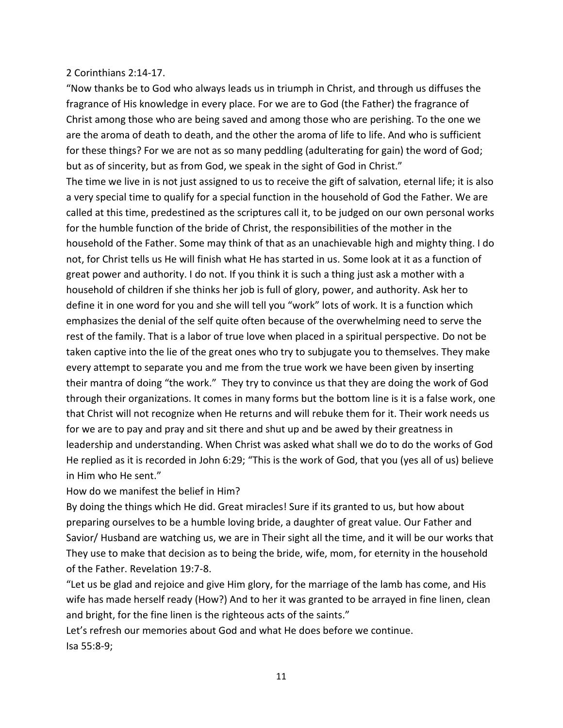## 2 Corinthians 2:14-17.

"Now thanks be to God who always leads us in triumph in Christ, and through us diffuses the fragrance of His knowledge in every place. For we are to God (the Father) the fragrance of Christ among those who are being saved and among those who are perishing. To the one we are the aroma of death to death, and the other the aroma of life to life. And who is sufficient for these things? For we are not as so many peddling (adulterating for gain) the word of God; but as of sincerity, but as from God, we speak in the sight of God in Christ."

The time we live in is not just assigned to us to receive the gift of salvation, eternal life; it is also a very special time to qualify for a special function in the household of God the Father. We are called at this time, predestined as the scriptures call it, to be judged on our own personal works for the humble function of the bride of Christ, the responsibilities of the mother in the household of the Father. Some may think of that as an unachievable high and mighty thing. I do not, for Christ tells us He will finish what He has started in us. Some look at it as a function of great power and authority. I do not. If you think it is such a thing just ask a mother with a household of children if she thinks her job is full of glory, power, and authority. Ask her to define it in one word for you and she will tell you "work" lots of work. It is a function which emphasizes the denial of the self quite often because of the overwhelming need to serve the rest of the family. That is a labor of true love when placed in a spiritual perspective. Do not be taken captive into the lie of the great ones who try to subjugate you to themselves. They make every attempt to separate you and me from the true work we have been given by inserting their mantra of doing "the work." They try to convince us that they are doing the work of God through their organizations. It comes in many forms but the bottom line is it is a false work, one that Christ will not recognize when He returns and will rebuke them for it. Their work needs us for we are to pay and pray and sit there and shut up and be awed by their greatness in leadership and understanding. When Christ was asked what shall we do to do the works of God He replied as it is recorded in John 6:29; "This is the work of God, that you (yes all of us) believe in Him who He sent."

How do we manifest the belief in Him?

By doing the things which He did. Great miracles! Sure if its granted to us, but how about preparing ourselves to be a humble loving bride, a daughter of great value. Our Father and Savior/ Husband are watching us, we are in Their sight all the time, and it will be our works that They use to make that decision as to being the bride, wife, mom, for eternity in the household of the Father. Revelation 19:7-8.

"Let us be glad and rejoice and give Him glory, for the marriage of the lamb has come, and His wife has made herself ready (How?) And to her it was granted to be arrayed in fine linen, clean and bright, for the fine linen is the righteous acts of the saints."

Let's refresh our memories about God and what He does before we continue. Isa 55:8-9;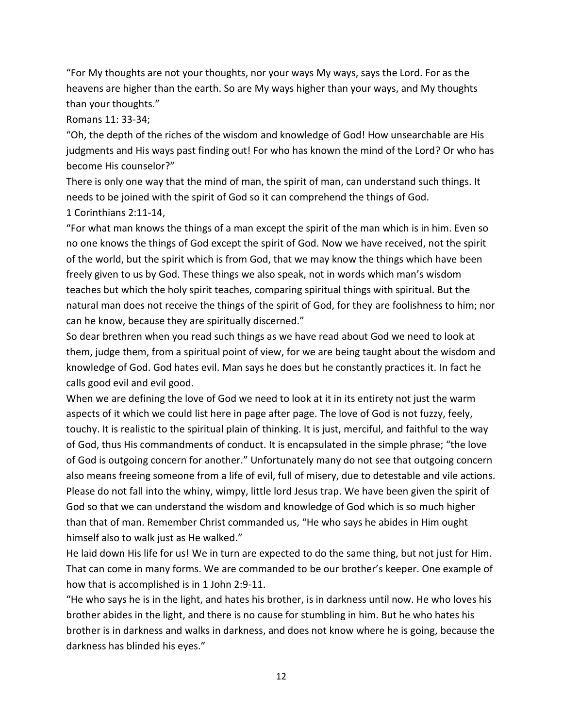"For My thoughts are not your thoughts, nor your ways My ways, says the Lord. For as the heavens are higher than the earth. So are My ways higher than your ways, and My thoughts than your thoughts."

Romans 11: 33-34;

"Oh, the depth of the riches of the wisdom and knowledge of God! How unsearchable are His judgments and His ways past finding out! For who has known the mind of the Lord? Or who has become His counselor?"

There is only one way that the mind of man, the spirit of man, can understand such things. It needs to be joined with the spirit of God so it can comprehend the things of God. 1 Corinthians 2:11-14,

"For what man knows the things of a man except the spirit of the man which is in him. Even so no one knows the things of God except the spirit of God. Now we have received, not the spirit of the world, but the spirit which is from God, that we may know the things which have been freely given to us by God. These things we also speak, not in words which man's wisdom teaches but which the holy spirit teaches, comparing spiritual things with spiritual. But the natural man does not receive the things of the spirit of God, for they are foolishness to him; nor can he know, because they are spiritually discerned."

So dear brethren when you read such things as we have read about God we need to look at them, judge them, from a spiritual point of view, for we are being taught about the wisdom and knowledge of God. God hates evil. Man says he does but he constantly practices it. In fact he calls good evil and evil good.

When we are defining the love of God we need to look at it in its entirety not just the warm aspects of it which we could list here in page after page. The love of God is not fuzzy, feely, touchy. It is realistic to the spiritual plain of thinking. It is just, merciful, and faithful to the way of God, thus His commandments of conduct. It is encapsulated in the simple phrase; "the love of God is outgoing concern for another." Unfortunately many do not see that outgoing concern also means freeing someone from a life of evil, full of misery, due to detestable and vile actions. Please do not fall into the whiny, wimpy, little lord Jesus trap. We have been given the spirit of God so that we can understand the wisdom and knowledge of God which is so much higher than that of man. Remember Christ commanded us, "He who says he abides in Him ought himself also to walk just as He walked."

He laid down His life for us! We in turn are expected to do the same thing, but not just for Him. That can come in many forms. We are commanded to be our brother's keeper. One example of how that is accomplished is in 1 John 2:9-11.

"He who says he is in the light, and hates his brother, is in darkness until now. He who loves his brother abides in the light, and there is no cause for stumbling in him. But he who hates his brother is in darkness and walks in darkness, and does not know where he is going, because the darkness has blinded his eyes."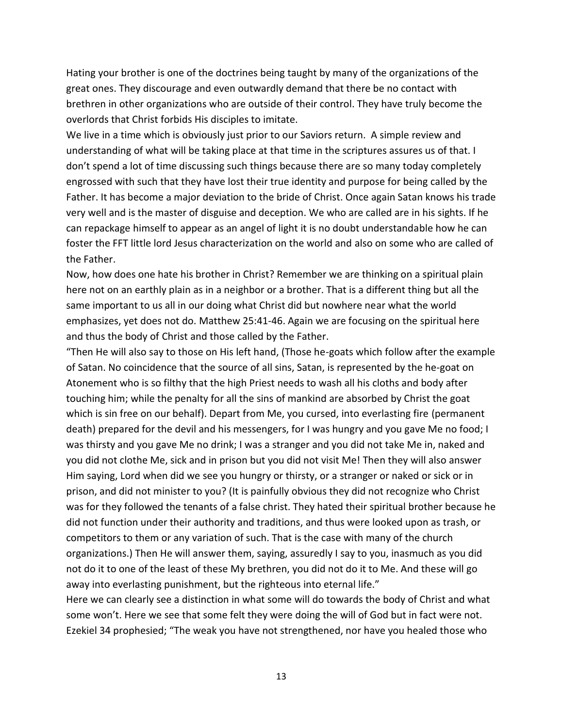Hating your brother is one of the doctrines being taught by many of the organizations of the great ones. They discourage and even outwardly demand that there be no contact with brethren in other organizations who are outside of their control. They have truly become the overlords that Christ forbids His disciples to imitate.

We live in a time which is obviously just prior to our Saviors return. A simple review and understanding of what will be taking place at that time in the scriptures assures us of that. I don't spend a lot of time discussing such things because there are so many today completely engrossed with such that they have lost their true identity and purpose for being called by the Father. It has become a major deviation to the bride of Christ. Once again Satan knows his trade very well and is the master of disguise and deception. We who are called are in his sights. If he can repackage himself to appear as an angel of light it is no doubt understandable how he can foster the FFT little lord Jesus characterization on the world and also on some who are called of the Father.

Now, how does one hate his brother in Christ? Remember we are thinking on a spiritual plain here not on an earthly plain as in a neighbor or a brother. That is a different thing but all the same important to us all in our doing what Christ did but nowhere near what the world emphasizes, yet does not do. Matthew 25:41-46. Again we are focusing on the spiritual here and thus the body of Christ and those called by the Father.

"Then He will also say to those on His left hand, (Those he-goats which follow after the example of Satan. No coincidence that the source of all sins, Satan, is represented by the he-goat on Atonement who is so filthy that the high Priest needs to wash all his cloths and body after touching him; while the penalty for all the sins of mankind are absorbed by Christ the goat which is sin free on our behalf). Depart from Me, you cursed, into everlasting fire (permanent death) prepared for the devil and his messengers, for I was hungry and you gave Me no food; I was thirsty and you gave Me no drink; I was a stranger and you did not take Me in, naked and you did not clothe Me, sick and in prison but you did not visit Me! Then they will also answer Him saying, Lord when did we see you hungry or thirsty, or a stranger or naked or sick or in prison, and did not minister to you? (It is painfully obvious they did not recognize who Christ was for they followed the tenants of a false christ. They hated their spiritual brother because he did not function under their authority and traditions, and thus were looked upon as trash, or competitors to them or any variation of such. That is the case with many of the church organizations.) Then He will answer them, saying, assuredly I say to you, inasmuch as you did not do it to one of the least of these My brethren, you did not do it to Me. And these will go away into everlasting punishment, but the righteous into eternal life."

Here we can clearly see a distinction in what some will do towards the body of Christ and what some won't. Here we see that some felt they were doing the will of God but in fact were not. Ezekiel 34 prophesied; "The weak you have not strengthened, nor have you healed those who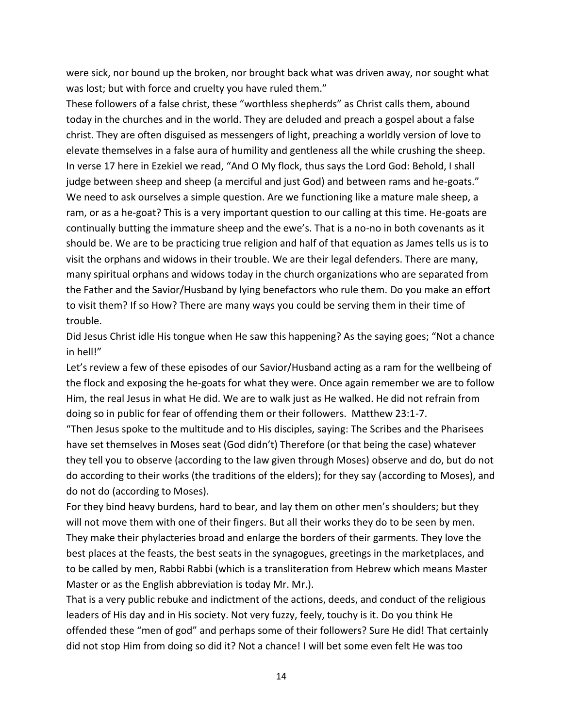were sick, nor bound up the broken, nor brought back what was driven away, nor sought what was lost; but with force and cruelty you have ruled them."

These followers of a false christ, these "worthless shepherds" as Christ calls them, abound today in the churches and in the world. They are deluded and preach a gospel about a false christ. They are often disguised as messengers of light, preaching a worldly version of love to elevate themselves in a false aura of humility and gentleness all the while crushing the sheep. In verse 17 here in Ezekiel we read, "And O My flock, thus says the Lord God: Behold, I shall judge between sheep and sheep (a merciful and just God) and between rams and he-goats." We need to ask ourselves a simple question. Are we functioning like a mature male sheep, a ram, or as a he-goat? This is a very important question to our calling at this time. He-goats are continually butting the immature sheep and the ewe's. That is a no-no in both covenants as it should be. We are to be practicing true religion and half of that equation as James tells us is to visit the orphans and widows in their trouble. We are their legal defenders. There are many, many spiritual orphans and widows today in the church organizations who are separated from the Father and the Savior/Husband by lying benefactors who rule them. Do you make an effort to visit them? If so How? There are many ways you could be serving them in their time of trouble.

Did Jesus Christ idle His tongue when He saw this happening? As the saying goes; "Not a chance in hell!"

Let's review a few of these episodes of our Savior/Husband acting as a ram for the wellbeing of the flock and exposing the he-goats for what they were. Once again remember we are to follow Him, the real Jesus in what He did. We are to walk just as He walked. He did not refrain from doing so in public for fear of offending them or their followers. Matthew 23:1-7.

"Then Jesus spoke to the multitude and to His disciples, saying: The Scribes and the Pharisees have set themselves in Moses seat (God didn't) Therefore (or that being the case) whatever they tell you to observe (according to the law given through Moses) observe and do, but do not do according to their works (the traditions of the elders); for they say (according to Moses), and do not do (according to Moses).

For they bind heavy burdens, hard to bear, and lay them on other men's shoulders; but they will not move them with one of their fingers. But all their works they do to be seen by men. They make their phylacteries broad and enlarge the borders of their garments. They love the best places at the feasts, the best seats in the synagogues, greetings in the marketplaces, and to be called by men, Rabbi Rabbi (which is a transliteration from Hebrew which means Master Master or as the English abbreviation is today Mr. Mr.).

That is a very public rebuke and indictment of the actions, deeds, and conduct of the religious leaders of His day and in His society. Not very fuzzy, feely, touchy is it. Do you think He offended these "men of god" and perhaps some of their followers? Sure He did! That certainly did not stop Him from doing so did it? Not a chance! I will bet some even felt He was too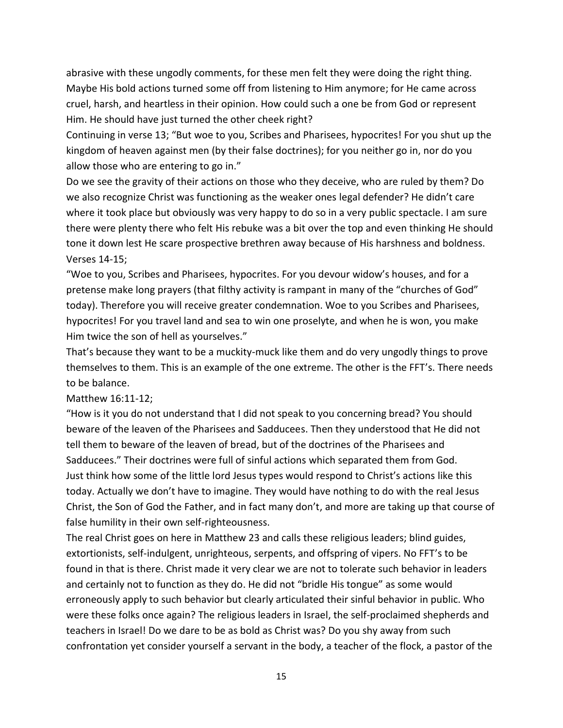abrasive with these ungodly comments, for these men felt they were doing the right thing. Maybe His bold actions turned some off from listening to Him anymore; for He came across cruel, harsh, and heartless in their opinion. How could such a one be from God or represent Him. He should have just turned the other cheek right?

Continuing in verse 13; "But woe to you, Scribes and Pharisees, hypocrites! For you shut up the kingdom of heaven against men (by their false doctrines); for you neither go in, nor do you allow those who are entering to go in."

Do we see the gravity of their actions on those who they deceive, who are ruled by them? Do we also recognize Christ was functioning as the weaker ones legal defender? He didn't care where it took place but obviously was very happy to do so in a very public spectacle. I am sure there were plenty there who felt His rebuke was a bit over the top and even thinking He should tone it down lest He scare prospective brethren away because of His harshness and boldness. Verses 14-15;

"Woe to you, Scribes and Pharisees, hypocrites. For you devour widow's houses, and for a pretense make long prayers (that filthy activity is rampant in many of the "churches of God" today). Therefore you will receive greater condemnation. Woe to you Scribes and Pharisees, hypocrites! For you travel land and sea to win one proselyte, and when he is won, you make Him twice the son of hell as yourselves."

That's because they want to be a muckity-muck like them and do very ungodly things to prove themselves to them. This is an example of the one extreme. The other is the FFT's. There needs to be balance.

Matthew 16:11-12;

"How is it you do not understand that I did not speak to you concerning bread? You should beware of the leaven of the Pharisees and Sadducees. Then they understood that He did not tell them to beware of the leaven of bread, but of the doctrines of the Pharisees and Sadducees." Their doctrines were full of sinful actions which separated them from God. Just think how some of the little lord Jesus types would respond to Christ's actions like this today. Actually we don't have to imagine. They would have nothing to do with the real Jesus Christ, the Son of God the Father, and in fact many don't, and more are taking up that course of false humility in their own self-righteousness.

The real Christ goes on here in Matthew 23 and calls these religious leaders; blind guides, extortionists, self-indulgent, unrighteous, serpents, and offspring of vipers. No FFT's to be found in that is there. Christ made it very clear we are not to tolerate such behavior in leaders and certainly not to function as they do. He did not "bridle His tongue" as some would erroneously apply to such behavior but clearly articulated their sinful behavior in public. Who were these folks once again? The religious leaders in Israel, the self-proclaimed shepherds and teachers in Israel! Do we dare to be as bold as Christ was? Do you shy away from such confrontation yet consider yourself a servant in the body, a teacher of the flock, a pastor of the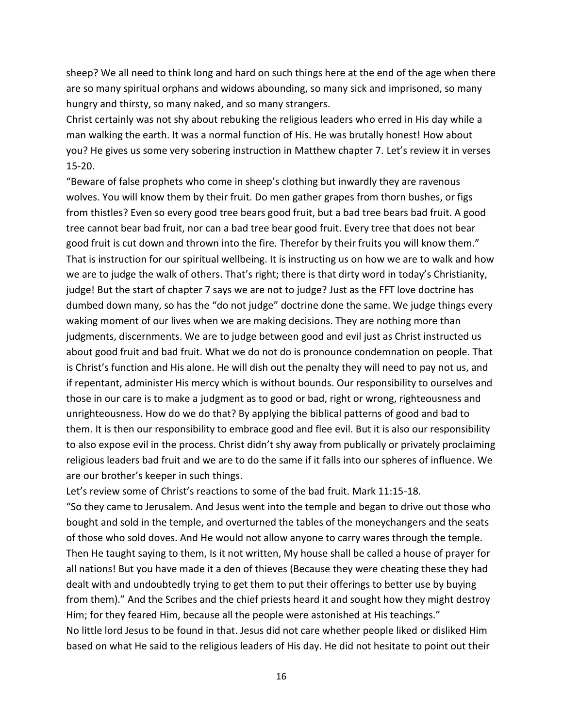sheep? We all need to think long and hard on such things here at the end of the age when there are so many spiritual orphans and widows abounding, so many sick and imprisoned, so many hungry and thirsty, so many naked, and so many strangers.

Christ certainly was not shy about rebuking the religious leaders who erred in His day while a man walking the earth. It was a normal function of His. He was brutally honest! How about you? He gives us some very sobering instruction in Matthew chapter 7. Let's review it in verses 15-20.

"Beware of false prophets who come in sheep's clothing but inwardly they are ravenous wolves. You will know them by their fruit. Do men gather grapes from thorn bushes, or figs from thistles? Even so every good tree bears good fruit, but a bad tree bears bad fruit. A good tree cannot bear bad fruit, nor can a bad tree bear good fruit. Every tree that does not bear good fruit is cut down and thrown into the fire. Therefor by their fruits you will know them." That is instruction for our spiritual wellbeing. It is instructing us on how we are to walk and how we are to judge the walk of others. That's right; there is that dirty word in today's Christianity, judge! But the start of chapter 7 says we are not to judge? Just as the FFT love doctrine has dumbed down many, so has the "do not judge" doctrine done the same. We judge things every waking moment of our lives when we are making decisions. They are nothing more than judgments, discernments. We are to judge between good and evil just as Christ instructed us about good fruit and bad fruit. What we do not do is pronounce condemnation on people. That is Christ's function and His alone. He will dish out the penalty they will need to pay not us, and if repentant, administer His mercy which is without bounds. Our responsibility to ourselves and those in our care is to make a judgment as to good or bad, right or wrong, righteousness and unrighteousness. How do we do that? By applying the biblical patterns of good and bad to them. It is then our responsibility to embrace good and flee evil. But it is also our responsibility to also expose evil in the process. Christ didn't shy away from publically or privately proclaiming religious leaders bad fruit and we are to do the same if it falls into our spheres of influence. We are our brother's keeper in such things.

Let's review some of Christ's reactions to some of the bad fruit. Mark 11:15-18.

"So they came to Jerusalem. And Jesus went into the temple and began to drive out those who bought and sold in the temple, and overturned the tables of the moneychangers and the seats of those who sold doves. And He would not allow anyone to carry wares through the temple. Then He taught saying to them, Is it not written, My house shall be called a house of prayer for all nations! But you have made it a den of thieves (Because they were cheating these they had dealt with and undoubtedly trying to get them to put their offerings to better use by buying from them)." And the Scribes and the chief priests heard it and sought how they might destroy Him; for they feared Him, because all the people were astonished at His teachings." No little lord Jesus to be found in that. Jesus did not care whether people liked or disliked Him based on what He said to the religious leaders of His day. He did not hesitate to point out their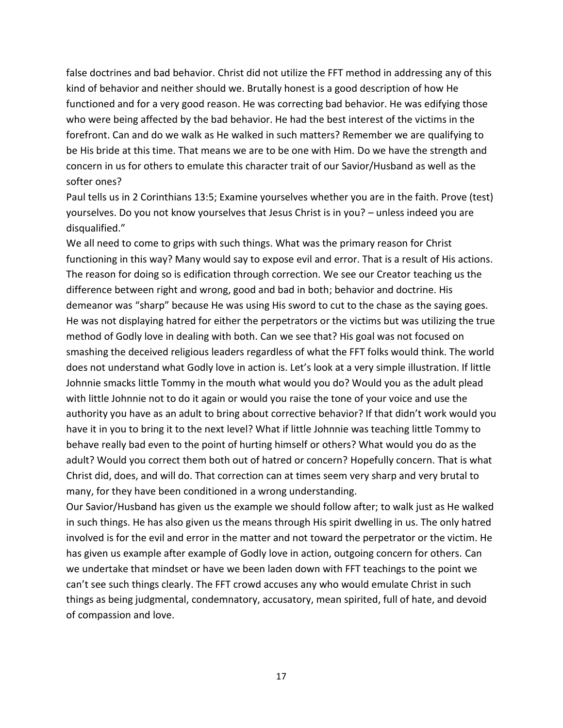false doctrines and bad behavior. Christ did not utilize the FFT method in addressing any of this kind of behavior and neither should we. Brutally honest is a good description of how He functioned and for a very good reason. He was correcting bad behavior. He was edifying those who were being affected by the bad behavior. He had the best interest of the victims in the forefront. Can and do we walk as He walked in such matters? Remember we are qualifying to be His bride at this time. That means we are to be one with Him. Do we have the strength and concern in us for others to emulate this character trait of our Savior/Husband as well as the softer ones?

Paul tells us in 2 Corinthians 13:5; Examine yourselves whether you are in the faith. Prove (test) yourselves. Do you not know yourselves that Jesus Christ is in you? – unless indeed you are disqualified."

We all need to come to grips with such things. What was the primary reason for Christ functioning in this way? Many would say to expose evil and error. That is a result of His actions. The reason for doing so is edification through correction. We see our Creator teaching us the difference between right and wrong, good and bad in both; behavior and doctrine. His demeanor was "sharp" because He was using His sword to cut to the chase as the saying goes. He was not displaying hatred for either the perpetrators or the victims but was utilizing the true method of Godly love in dealing with both. Can we see that? His goal was not focused on smashing the deceived religious leaders regardless of what the FFT folks would think. The world does not understand what Godly love in action is. Let's look at a very simple illustration. If little Johnnie smacks little Tommy in the mouth what would you do? Would you as the adult plead with little Johnnie not to do it again or would you raise the tone of your voice and use the authority you have as an adult to bring about corrective behavior? If that didn't work would you have it in you to bring it to the next level? What if little Johnnie was teaching little Tommy to behave really bad even to the point of hurting himself or others? What would you do as the adult? Would you correct them both out of hatred or concern? Hopefully concern. That is what Christ did, does, and will do. That correction can at times seem very sharp and very brutal to many, for they have been conditioned in a wrong understanding.

Our Savior/Husband has given us the example we should follow after; to walk just as He walked in such things. He has also given us the means through His spirit dwelling in us. The only hatred involved is for the evil and error in the matter and not toward the perpetrator or the victim. He has given us example after example of Godly love in action, outgoing concern for others. Can we undertake that mindset or have we been laden down with FFT teachings to the point we can't see such things clearly. The FFT crowd accuses any who would emulate Christ in such things as being judgmental, condemnatory, accusatory, mean spirited, full of hate, and devoid of compassion and love.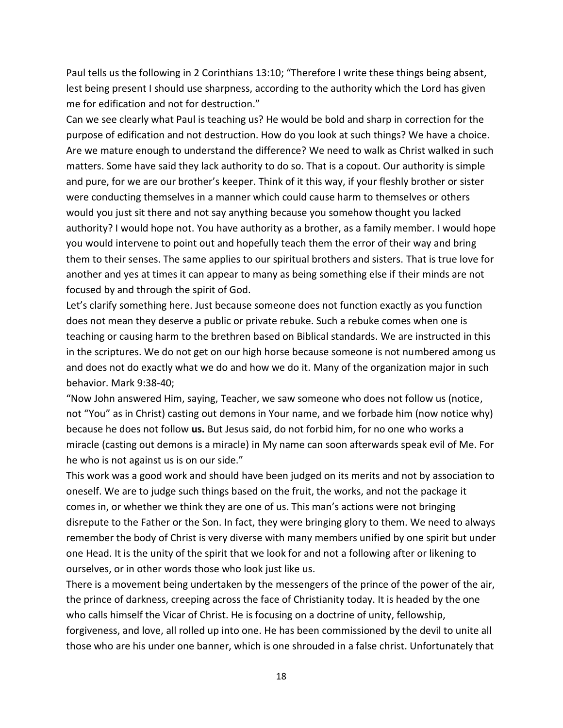Paul tells us the following in 2 Corinthians 13:10; "Therefore I write these things being absent, lest being present I should use sharpness, according to the authority which the Lord has given me for edification and not for destruction."

Can we see clearly what Paul is teaching us? He would be bold and sharp in correction for the purpose of edification and not destruction. How do you look at such things? We have a choice. Are we mature enough to understand the difference? We need to walk as Christ walked in such matters. Some have said they lack authority to do so. That is a copout. Our authority is simple and pure, for we are our brother's keeper. Think of it this way, if your fleshly brother or sister were conducting themselves in a manner which could cause harm to themselves or others would you just sit there and not say anything because you somehow thought you lacked authority? I would hope not. You have authority as a brother, as a family member. I would hope you would intervene to point out and hopefully teach them the error of their way and bring them to their senses. The same applies to our spiritual brothers and sisters. That is true love for another and yes at times it can appear to many as being something else if their minds are not focused by and through the spirit of God.

Let's clarify something here. Just because someone does not function exactly as you function does not mean they deserve a public or private rebuke. Such a rebuke comes when one is teaching or causing harm to the brethren based on Biblical standards. We are instructed in this in the scriptures. We do not get on our high horse because someone is not numbered among us and does not do exactly what we do and how we do it. Many of the organization major in such behavior. Mark 9:38-40;

"Now John answered Him, saying, Teacher, we saw someone who does not follow us (notice, not "You" as in Christ) casting out demons in Your name, and we forbade him (now notice why) because he does not follow **us.** But Jesus said, do not forbid him, for no one who works a miracle (casting out demons is a miracle) in My name can soon afterwards speak evil of Me. For he who is not against us is on our side."

This work was a good work and should have been judged on its merits and not by association to oneself. We are to judge such things based on the fruit, the works, and not the package it comes in, or whether we think they are one of us. This man's actions were not bringing disrepute to the Father or the Son. In fact, they were bringing glory to them. We need to always remember the body of Christ is very diverse with many members unified by one spirit but under one Head. It is the unity of the spirit that we look for and not a following after or likening to ourselves, or in other words those who look just like us.

There is a movement being undertaken by the messengers of the prince of the power of the air, the prince of darkness, creeping across the face of Christianity today. It is headed by the one who calls himself the Vicar of Christ. He is focusing on a doctrine of unity, fellowship, forgiveness, and love, all rolled up into one. He has been commissioned by the devil to unite all those who are his under one banner, which is one shrouded in a false christ. Unfortunately that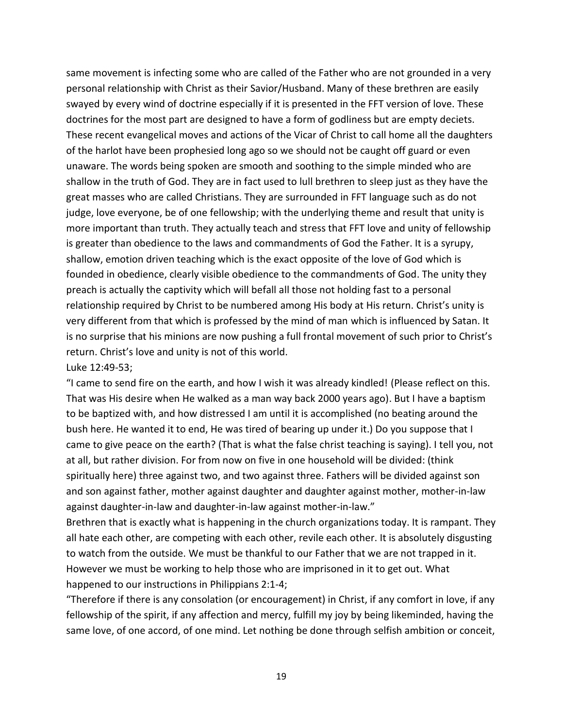same movement is infecting some who are called of the Father who are not grounded in a very personal relationship with Christ as their Savior/Husband. Many of these brethren are easily swayed by every wind of doctrine especially if it is presented in the FFT version of love. These doctrines for the most part are designed to have a form of godliness but are empty deciets. These recent evangelical moves and actions of the Vicar of Christ to call home all the daughters of the harlot have been prophesied long ago so we should not be caught off guard or even unaware. The words being spoken are smooth and soothing to the simple minded who are shallow in the truth of God. They are in fact used to lull brethren to sleep just as they have the great masses who are called Christians. They are surrounded in FFT language such as do not judge, love everyone, be of one fellowship; with the underlying theme and result that unity is more important than truth. They actually teach and stress that FFT love and unity of fellowship is greater than obedience to the laws and commandments of God the Father. It is a syrupy, shallow, emotion driven teaching which is the exact opposite of the love of God which is founded in obedience, clearly visible obedience to the commandments of God. The unity they preach is actually the captivity which will befall all those not holding fast to a personal relationship required by Christ to be numbered among His body at His return. Christ's unity is very different from that which is professed by the mind of man which is influenced by Satan. It is no surprise that his minions are now pushing a full frontal movement of such prior to Christ's return. Christ's love and unity is not of this world. Luke 12:49-53;

"I came to send fire on the earth, and how I wish it was already kindled! (Please reflect on this. That was His desire when He walked as a man way back 2000 years ago). But I have a baptism to be baptized with, and how distressed I am until it is accomplished (no beating around the bush here. He wanted it to end, He was tired of bearing up under it.) Do you suppose that I came to give peace on the earth? (That is what the false christ teaching is saying). I tell you, not at all, but rather division. For from now on five in one household will be divided: (think spiritually here) three against two, and two against three. Fathers will be divided against son and son against father, mother against daughter and daughter against mother, mother-in-law against daughter-in-law and daughter-in-law against mother-in-law."

Brethren that is exactly what is happening in the church organizations today. It is rampant. They all hate each other, are competing with each other, revile each other. It is absolutely disgusting to watch from the outside. We must be thankful to our Father that we are not trapped in it. However we must be working to help those who are imprisoned in it to get out. What happened to our instructions in Philippians 2:1-4;

"Therefore if there is any consolation (or encouragement) in Christ, if any comfort in love, if any fellowship of the spirit, if any affection and mercy, fulfill my joy by being likeminded, having the same love, of one accord, of one mind. Let nothing be done through selfish ambition or conceit,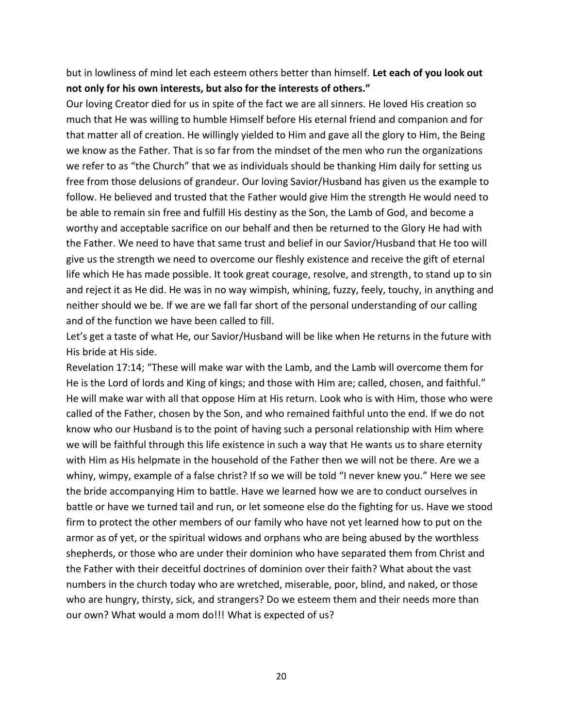but in lowliness of mind let each esteem others better than himself. **Let each of you look out not only for his own interests, but also for the interests of others."**

Our loving Creator died for us in spite of the fact we are all sinners. He loved His creation so much that He was willing to humble Himself before His eternal friend and companion and for that matter all of creation. He willingly yielded to Him and gave all the glory to Him, the Being we know as the Father. That is so far from the mindset of the men who run the organizations we refer to as "the Church" that we as individuals should be thanking Him daily for setting us free from those delusions of grandeur. Our loving Savior/Husband has given us the example to follow. He believed and trusted that the Father would give Him the strength He would need to be able to remain sin free and fulfill His destiny as the Son, the Lamb of God, and become a worthy and acceptable sacrifice on our behalf and then be returned to the Glory He had with the Father. We need to have that same trust and belief in our Savior/Husband that He too will give us the strength we need to overcome our fleshly existence and receive the gift of eternal life which He has made possible. It took great courage, resolve, and strength, to stand up to sin and reject it as He did. He was in no way wimpish, whining, fuzzy, feely, touchy, in anything and neither should we be. If we are we fall far short of the personal understanding of our calling and of the function we have been called to fill.

Let's get a taste of what He, our Savior/Husband will be like when He returns in the future with His bride at His side.

Revelation 17:14; "These will make war with the Lamb, and the Lamb will overcome them for He is the Lord of lords and King of kings; and those with Him are; called, chosen, and faithful." He will make war with all that oppose Him at His return. Look who is with Him, those who were called of the Father, chosen by the Son, and who remained faithful unto the end. If we do not know who our Husband is to the point of having such a personal relationship with Him where we will be faithful through this life existence in such a way that He wants us to share eternity with Him as His helpmate in the household of the Father then we will not be there. Are we a whiny, wimpy, example of a false christ? If so we will be told "I never knew you." Here we see the bride accompanying Him to battle. Have we learned how we are to conduct ourselves in battle or have we turned tail and run, or let someone else do the fighting for us. Have we stood firm to protect the other members of our family who have not yet learned how to put on the armor as of yet, or the spiritual widows and orphans who are being abused by the worthless shepherds, or those who are under their dominion who have separated them from Christ and the Father with their deceitful doctrines of dominion over their faith? What about the vast numbers in the church today who are wretched, miserable, poor, blind, and naked, or those who are hungry, thirsty, sick, and strangers? Do we esteem them and their needs more than our own? What would a mom do!!! What is expected of us?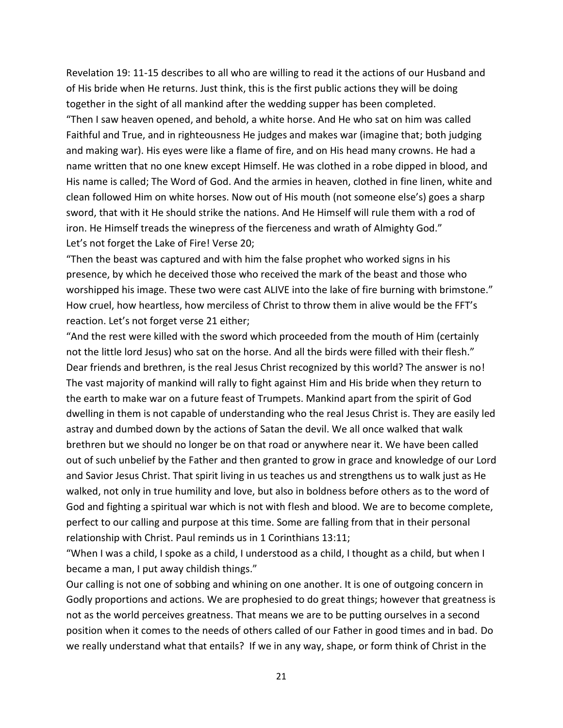Revelation 19: 11-15 describes to all who are willing to read it the actions of our Husband and of His bride when He returns. Just think, this is the first public actions they will be doing together in the sight of all mankind after the wedding supper has been completed. "Then I saw heaven opened, and behold, a white horse. And He who sat on him was called Faithful and True, and in righteousness He judges and makes war (imagine that; both judging and making war). His eyes were like a flame of fire, and on His head many crowns. He had a name written that no one knew except Himself. He was clothed in a robe dipped in blood, and His name is called; The Word of God. And the armies in heaven, clothed in fine linen, white and clean followed Him on white horses. Now out of His mouth (not someone else's) goes a sharp sword, that with it He should strike the nations. And He Himself will rule them with a rod of iron. He Himself treads the winepress of the fierceness and wrath of Almighty God." Let's not forget the Lake of Fire! Verse 20;

"Then the beast was captured and with him the false prophet who worked signs in his presence, by which he deceived those who received the mark of the beast and those who worshipped his image. These two were cast ALIVE into the lake of fire burning with brimstone." How cruel, how heartless, how merciless of Christ to throw them in alive would be the FFT's reaction. Let's not forget verse 21 either;

"And the rest were killed with the sword which proceeded from the mouth of Him (certainly not the little lord Jesus) who sat on the horse. And all the birds were filled with their flesh." Dear friends and brethren, is the real Jesus Christ recognized by this world? The answer is no! The vast majority of mankind will rally to fight against Him and His bride when they return to the earth to make war on a future feast of Trumpets. Mankind apart from the spirit of God dwelling in them is not capable of understanding who the real Jesus Christ is. They are easily led astray and dumbed down by the actions of Satan the devil. We all once walked that walk brethren but we should no longer be on that road or anywhere near it. We have been called out of such unbelief by the Father and then granted to grow in grace and knowledge of our Lord and Savior Jesus Christ. That spirit living in us teaches us and strengthens us to walk just as He walked, not only in true humility and love, but also in boldness before others as to the word of God and fighting a spiritual war which is not with flesh and blood. We are to become complete, perfect to our calling and purpose at this time. Some are falling from that in their personal relationship with Christ. Paul reminds us in 1 Corinthians 13:11;

"When I was a child, I spoke as a child, I understood as a child, I thought as a child, but when I became a man, I put away childish things."

Our calling is not one of sobbing and whining on one another. It is one of outgoing concern in Godly proportions and actions. We are prophesied to do great things; however that greatness is not as the world perceives greatness. That means we are to be putting ourselves in a second position when it comes to the needs of others called of our Father in good times and in bad. Do we really understand what that entails? If we in any way, shape, or form think of Christ in the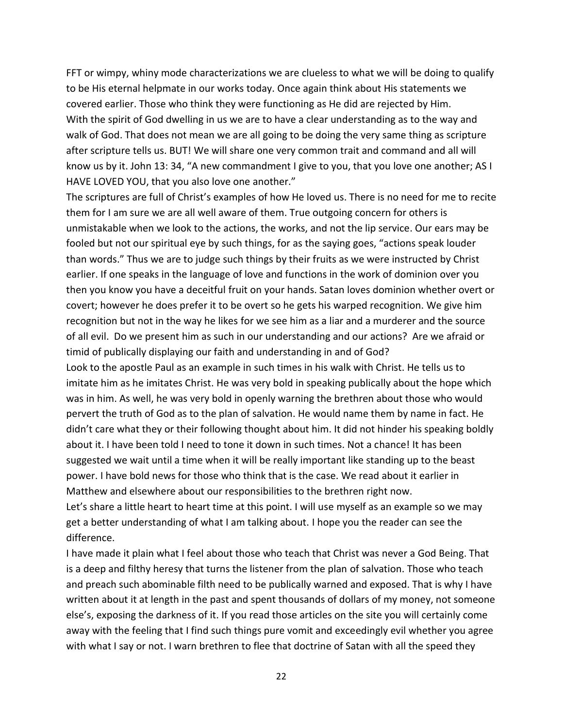FFT or wimpy, whiny mode characterizations we are clueless to what we will be doing to qualify to be His eternal helpmate in our works today. Once again think about His statements we covered earlier. Those who think they were functioning as He did are rejected by Him. With the spirit of God dwelling in us we are to have a clear understanding as to the way and walk of God. That does not mean we are all going to be doing the very same thing as scripture after scripture tells us. BUT! We will share one very common trait and command and all will know us by it. John 13: 34, "A new commandment I give to you, that you love one another; AS I HAVE LOVED YOU, that you also love one another."

The scriptures are full of Christ's examples of how He loved us. There is no need for me to recite them for I am sure we are all well aware of them. True outgoing concern for others is unmistakable when we look to the actions, the works, and not the lip service. Our ears may be fooled but not our spiritual eye by such things, for as the saying goes, "actions speak louder than words." Thus we are to judge such things by their fruits as we were instructed by Christ earlier. If one speaks in the language of love and functions in the work of dominion over you then you know you have a deceitful fruit on your hands. Satan loves dominion whether overt or covert; however he does prefer it to be overt so he gets his warped recognition. We give him recognition but not in the way he likes for we see him as a liar and a murderer and the source of all evil. Do we present him as such in our understanding and our actions? Are we afraid or timid of publically displaying our faith and understanding in and of God? Look to the apostle Paul as an example in such times in his walk with Christ. He tells us to imitate him as he imitates Christ. He was very bold in speaking publically about the hope which was in him. As well, he was very bold in openly warning the brethren about those who would pervert the truth of God as to the plan of salvation. He would name them by name in fact. He didn't care what they or their following thought about him. It did not hinder his speaking boldly about it. I have been told I need to tone it down in such times. Not a chance! It has been suggested we wait until a time when it will be really important like standing up to the beast power. I have bold news for those who think that is the case. We read about it earlier in Matthew and elsewhere about our responsibilities to the brethren right now. Let's share a little heart to heart time at this point. I will use myself as an example so we may

get a better understanding of what I am talking about. I hope you the reader can see the difference.

I have made it plain what I feel about those who teach that Christ was never a God Being. That is a deep and filthy heresy that turns the listener from the plan of salvation. Those who teach and preach such abominable filth need to be publically warned and exposed. That is why I have written about it at length in the past and spent thousands of dollars of my money, not someone else's, exposing the darkness of it. If you read those articles on the site you will certainly come away with the feeling that I find such things pure vomit and exceedingly evil whether you agree with what I say or not. I warn brethren to flee that doctrine of Satan with all the speed they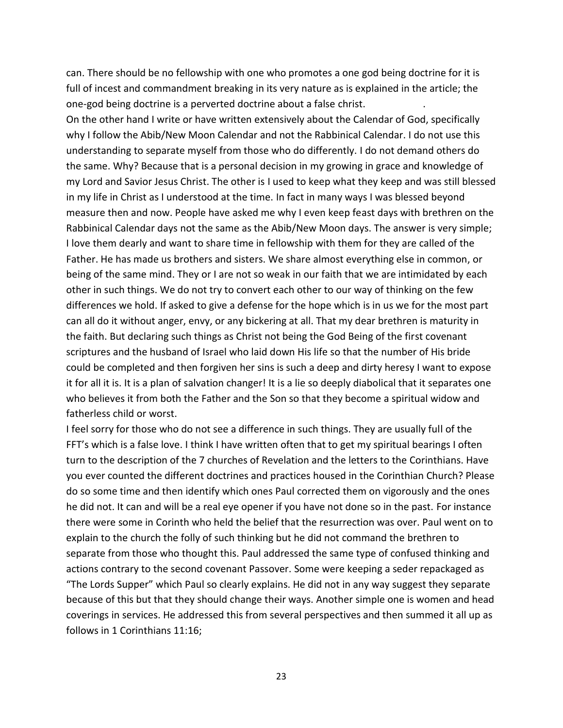can. There should be no fellowship with one who promotes a one god being doctrine for it is full of incest and commandment breaking in its very nature as is explained in the article; the one-god being doctrine is a perverted doctrine about a false christ. .

On the other hand I write or have written extensively about the Calendar of God, specifically why I follow the Abib/New Moon Calendar and not the Rabbinical Calendar. I do not use this understanding to separate myself from those who do differently. I do not demand others do the same. Why? Because that is a personal decision in my growing in grace and knowledge of my Lord and Savior Jesus Christ. The other is I used to keep what they keep and was still blessed in my life in Christ as I understood at the time. In fact in many ways I was blessed beyond measure then and now. People have asked me why I even keep feast days with brethren on the Rabbinical Calendar days not the same as the Abib/New Moon days. The answer is very simple; I love them dearly and want to share time in fellowship with them for they are called of the Father. He has made us brothers and sisters. We share almost everything else in common, or being of the same mind. They or I are not so weak in our faith that we are intimidated by each other in such things. We do not try to convert each other to our way of thinking on the few differences we hold. If asked to give a defense for the hope which is in us we for the most part can all do it without anger, envy, or any bickering at all. That my dear brethren is maturity in the faith. But declaring such things as Christ not being the God Being of the first covenant scriptures and the husband of Israel who laid down His life so that the number of His bride could be completed and then forgiven her sins is such a deep and dirty heresy I want to expose it for all it is. It is a plan of salvation changer! It is a lie so deeply diabolical that it separates one who believes it from both the Father and the Son so that they become a spiritual widow and fatherless child or worst.

I feel sorry for those who do not see a difference in such things. They are usually full of the FFT's which is a false love. I think I have written often that to get my spiritual bearings I often turn to the description of the 7 churches of Revelation and the letters to the Corinthians. Have you ever counted the different doctrines and practices housed in the Corinthian Church? Please do so some time and then identify which ones Paul corrected them on vigorously and the ones he did not. It can and will be a real eye opener if you have not done so in the past. For instance there were some in Corinth who held the belief that the resurrection was over. Paul went on to explain to the church the folly of such thinking but he did not command the brethren to separate from those who thought this. Paul addressed the same type of confused thinking and actions contrary to the second covenant Passover. Some were keeping a seder repackaged as "The Lords Supper" which Paul so clearly explains. He did not in any way suggest they separate because of this but that they should change their ways. Another simple one is women and head coverings in services. He addressed this from several perspectives and then summed it all up as follows in 1 Corinthians 11:16;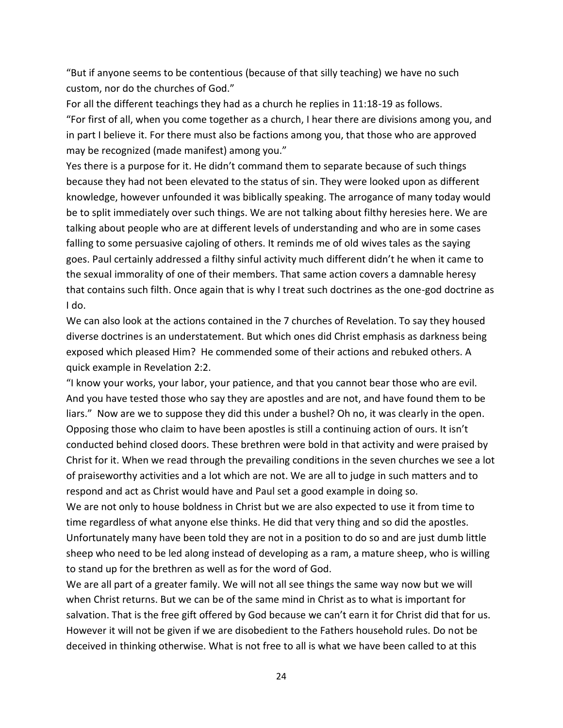"But if anyone seems to be contentious (because of that silly teaching) we have no such custom, nor do the churches of God."

For all the different teachings they had as a church he replies in 11:18-19 as follows. "For first of all, when you come together as a church, I hear there are divisions among you, and in part I believe it. For there must also be factions among you, that those who are approved may be recognized (made manifest) among you."

Yes there is a purpose for it. He didn't command them to separate because of such things because they had not been elevated to the status of sin. They were looked upon as different knowledge, however unfounded it was biblically speaking. The arrogance of many today would be to split immediately over such things. We are not talking about filthy heresies here. We are talking about people who are at different levels of understanding and who are in some cases falling to some persuasive cajoling of others. It reminds me of old wives tales as the saying goes. Paul certainly addressed a filthy sinful activity much different didn't he when it came to the sexual immorality of one of their members. That same action covers a damnable heresy that contains such filth. Once again that is why I treat such doctrines as the one-god doctrine as I do.

We can also look at the actions contained in the 7 churches of Revelation. To say they housed diverse doctrines is an understatement. But which ones did Christ emphasis as darkness being exposed which pleased Him? He commended some of their actions and rebuked others. A quick example in Revelation 2:2.

"I know your works, your labor, your patience, and that you cannot bear those who are evil. And you have tested those who say they are apostles and are not, and have found them to be liars." Now are we to suppose they did this under a bushel? Oh no, it was clearly in the open. Opposing those who claim to have been apostles is still a continuing action of ours. It isn't conducted behind closed doors. These brethren were bold in that activity and were praised by Christ for it. When we read through the prevailing conditions in the seven churches we see a lot of praiseworthy activities and a lot which are not. We are all to judge in such matters and to respond and act as Christ would have and Paul set a good example in doing so.

We are not only to house boldness in Christ but we are also expected to use it from time to time regardless of what anyone else thinks. He did that very thing and so did the apostles. Unfortunately many have been told they are not in a position to do so and are just dumb little sheep who need to be led along instead of developing as a ram, a mature sheep, who is willing to stand up for the brethren as well as for the word of God.

We are all part of a greater family. We will not all see things the same way now but we will when Christ returns. But we can be of the same mind in Christ as to what is important for salvation. That is the free gift offered by God because we can't earn it for Christ did that for us. However it will not be given if we are disobedient to the Fathers household rules. Do not be deceived in thinking otherwise. What is not free to all is what we have been called to at this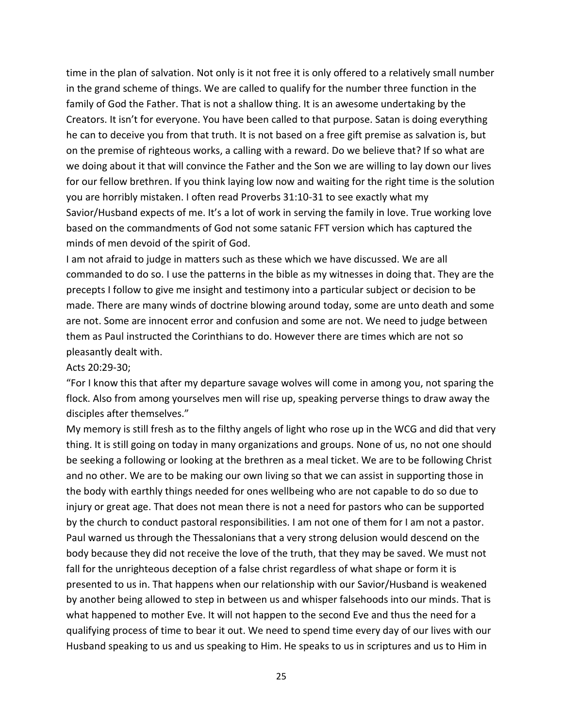time in the plan of salvation. Not only is it not free it is only offered to a relatively small number in the grand scheme of things. We are called to qualify for the number three function in the family of God the Father. That is not a shallow thing. It is an awesome undertaking by the Creators. It isn't for everyone. You have been called to that purpose. Satan is doing everything he can to deceive you from that truth. It is not based on a free gift premise as salvation is, but on the premise of righteous works, a calling with a reward. Do we believe that? If so what are we doing about it that will convince the Father and the Son we are willing to lay down our lives for our fellow brethren. If you think laying low now and waiting for the right time is the solution you are horribly mistaken. I often read Proverbs 31:10-31 to see exactly what my Savior/Husband expects of me. It's a lot of work in serving the family in love. True working love based on the commandments of God not some satanic FFT version which has captured the minds of men devoid of the spirit of God.

I am not afraid to judge in matters such as these which we have discussed. We are all commanded to do so. I use the patterns in the bible as my witnesses in doing that. They are the precepts I follow to give me insight and testimony into a particular subject or decision to be made. There are many winds of doctrine blowing around today, some are unto death and some are not. Some are innocent error and confusion and some are not. We need to judge between them as Paul instructed the Corinthians to do. However there are times which are not so pleasantly dealt with.

Acts 20:29-30;

"For I know this that after my departure savage wolves will come in among you, not sparing the flock. Also from among yourselves men will rise up, speaking perverse things to draw away the disciples after themselves."

My memory is still fresh as to the filthy angels of light who rose up in the WCG and did that very thing. It is still going on today in many organizations and groups. None of us, no not one should be seeking a following or looking at the brethren as a meal ticket. We are to be following Christ and no other. We are to be making our own living so that we can assist in supporting those in the body with earthly things needed for ones wellbeing who are not capable to do so due to injury or great age. That does not mean there is not a need for pastors who can be supported by the church to conduct pastoral responsibilities. I am not one of them for I am not a pastor. Paul warned us through the Thessalonians that a very strong delusion would descend on the body because they did not receive the love of the truth, that they may be saved. We must not fall for the unrighteous deception of a false christ regardless of what shape or form it is presented to us in. That happens when our relationship with our Savior/Husband is weakened by another being allowed to step in between us and whisper falsehoods into our minds. That is what happened to mother Eve. It will not happen to the second Eve and thus the need for a qualifying process of time to bear it out. We need to spend time every day of our lives with our Husband speaking to us and us speaking to Him. He speaks to us in scriptures and us to Him in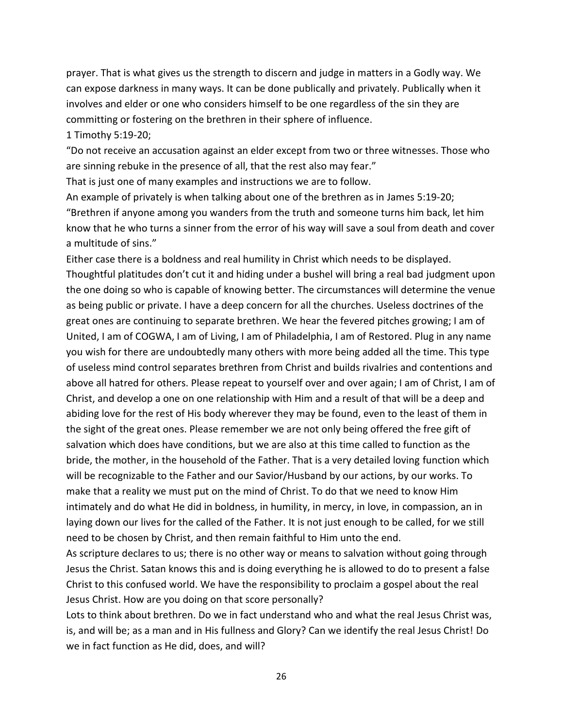prayer. That is what gives us the strength to discern and judge in matters in a Godly way. We can expose darkness in many ways. It can be done publically and privately. Publically when it involves and elder or one who considers himself to be one regardless of the sin they are committing or fostering on the brethren in their sphere of influence.

1 Timothy 5:19-20;

"Do not receive an accusation against an elder except from two or three witnesses. Those who are sinning rebuke in the presence of all, that the rest also may fear."

That is just one of many examples and instructions we are to follow.

An example of privately is when talking about one of the brethren as in James 5:19-20; "Brethren if anyone among you wanders from the truth and someone turns him back, let him know that he who turns a sinner from the error of his way will save a soul from death and cover a multitude of sins."

Either case there is a boldness and real humility in Christ which needs to be displayed. Thoughtful platitudes don't cut it and hiding under a bushel will bring a real bad judgment upon the one doing so who is capable of knowing better. The circumstances will determine the venue as being public or private. I have a deep concern for all the churches. Useless doctrines of the great ones are continuing to separate brethren. We hear the fevered pitches growing; I am of United, I am of COGWA, I am of Living, I am of Philadelphia, I am of Restored. Plug in any name you wish for there are undoubtedly many others with more being added all the time. This type of useless mind control separates brethren from Christ and builds rivalries and contentions and above all hatred for others. Please repeat to yourself over and over again; I am of Christ, I am of Christ, and develop a one on one relationship with Him and a result of that will be a deep and abiding love for the rest of His body wherever they may be found, even to the least of them in the sight of the great ones. Please remember we are not only being offered the free gift of salvation which does have conditions, but we are also at this time called to function as the bride, the mother, in the household of the Father. That is a very detailed loving function which will be recognizable to the Father and our Savior/Husband by our actions, by our works. To make that a reality we must put on the mind of Christ. To do that we need to know Him intimately and do what He did in boldness, in humility, in mercy, in love, in compassion, an in laying down our lives for the called of the Father. It is not just enough to be called, for we still need to be chosen by Christ, and then remain faithful to Him unto the end.

As scripture declares to us; there is no other way or means to salvation without going through Jesus the Christ. Satan knows this and is doing everything he is allowed to do to present a false Christ to this confused world. We have the responsibility to proclaim a gospel about the real Jesus Christ. How are you doing on that score personally?

Lots to think about brethren. Do we in fact understand who and what the real Jesus Christ was, is, and will be; as a man and in His fullness and Glory? Can we identify the real Jesus Christ! Do we in fact function as He did, does, and will?